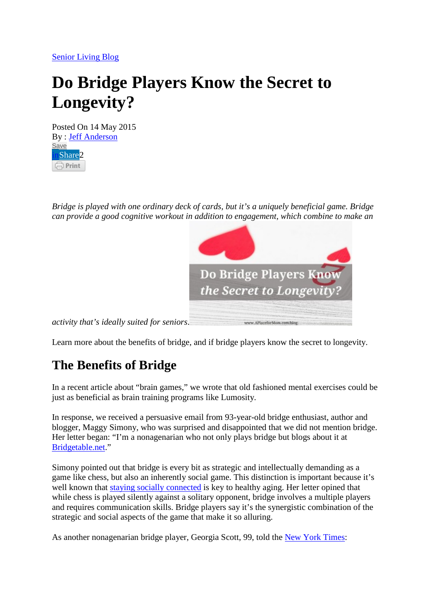[Senior Living Blog](https://www.aplaceformom.com/blog/)

# **Do Bridge Players Know the Secret to Longevity?**

Posted On 14 May 2015 By : [Jeff Anderson](https://www.aplaceformom.com/blog/author/jeffanderson/) [Save](https://au.pinterest.com/pin/create/button/?guid=FHZP0aWLzVcK-1&url=https%3A%2F%2Fwww.aplaceformom.com%2Fblog%2F9-24-13-bridge-players-benefits-longevity%2F&media=https%3A%2F%2Fwww.aplaceformom.com%2Fblog%2Fwp-content%2Fuploads%2F2013%2F09%2Fdo-bridge-players-know-the-secret-to-longevity.jpg&description=Do%20Bridge%20Players%20Know%20the%20Secret%20to%20Longevity) nShare2  $\Box$  Print

*Bridge is played with one ordinary deck of cards, but it's a uniquely beneficial game. Bridge can provide a good cognitive workout in addition to engagement, which combine to make an* 



*activity that's ideally suited for seniors*.

Learn more about the benefits of bridge, and if bridge players know the secret to longevity.

## **The Benefits of Bridge**

In a recent article about "brain games," we wrote that old fashioned mental exercises could be just as beneficial as brain training programs like Lumosity.

In response, we received a persuasive email from 93-year-old bridge enthusiast, author and blogger, Maggy Simony, who was surprised and disappointed that we did not mention bridge. Her letter began: "I'm a nonagenarian who not only plays bridge but blogs about it at [Bridgetable.net.](http://bridgetable.net/)"

Simony pointed out that bridge is every bit as strategic and intellectually demanding as a game like chess, but also an inherently social game. This distinction is important because it's well known that [staying socially connected](https://www.aplaceformom.com/blog/help-seniors-avoid-social-isolation-8-14-2014/) is key to healthy aging. Her letter opined that while chess is played silently against a solitary opponent, bridge involves a multiple players and requires communication skills. Bridge players say it's the synergistic combination of the strategic and social aspects of the game that make it so alluring.

As another nonagenarian bridge player, Georgia Scott, 99, told the [New York Times:](http://www.nytimes.com/2009/05/22/health/research/22brain.html?pagewanted=all)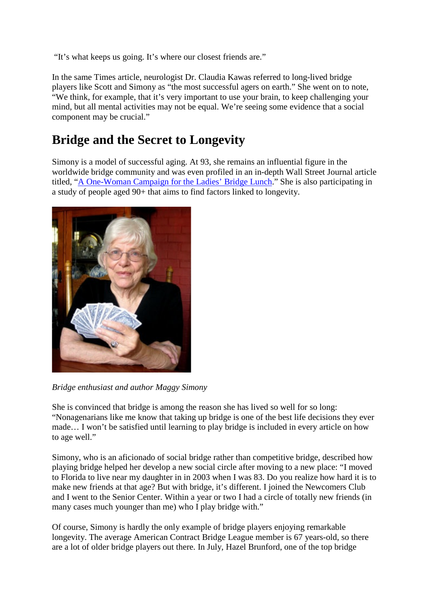"It's what keeps us going. It's where our closest friends are."

In the same Times article, neurologist Dr. Claudia Kawas referred to long-lived bridge players like Scott and Simony as "the most successful agers on earth." She went on to note, "We think, for example, that it's very important to use your brain, to keep challenging your mind, but all mental activities may not be equal. We're seeing some evidence that a social component may be crucial."

#### **Bridge and the Secret to Longevity**

Simony is a model of successful aging. At 93, she remains an influential figure in the worldwide bridge community and was even profiled in an in-depth Wall Street Journal article titled, ["A One-Woman Campaign for the Ladies' Bridge Lunch.](http://online.wsj.com/article/SB10001424052970203960804577243570572977672.html)" She is also participating in a study of people aged 90+ that aims to find factors linked to longevity.



*Bridge enthusiast and author Maggy Simony*

She is convinced that bridge is among the reason she has lived so well for so long: "Nonagenarians like me know that taking up bridge is one of the best life decisions they ever made… I won't be satisfied until learning to play bridge is included in every article on how to age well."

Simony, who is an aficionado of social bridge rather than competitive bridge, described how playing bridge helped her develop a new social circle after moving to a new place: "I moved to Florida to live near my daughter in in 2003 when I was 83. Do you realize how hard it is to make new friends at that age? But with bridge, it's different. I joined the Newcomers Club and I went to the Senior Center. Within a year or two I had a circle of totally new friends (in many cases much younger than me) who I play bridge with."

Of course, Simony is hardly the only example of bridge players enjoying remarkable longevity. The average American Contract Bridge League member is 67 years-old, so there are a lot of older bridge players out there. In July, Hazel Brunford, one of the top bridge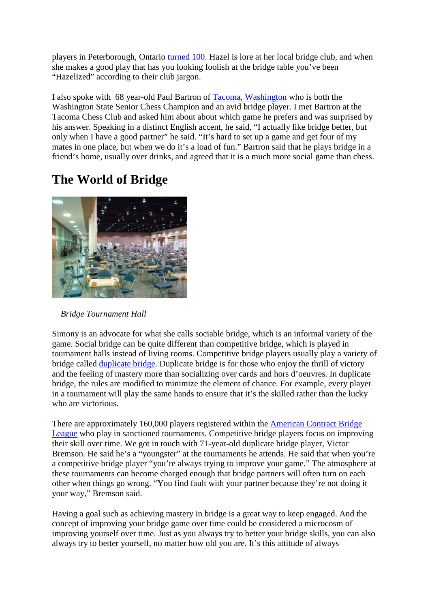players in Peterborough, Ontario [turned 100.](http://www.thepeterboroughexaminer.com/2013/07/05/queen-of-bridge-celebrating-100-years) Hazel is lore at her local bridge club, and when she makes a good play that has you looking foolish at the bridge table you've been "Hazelized" according to their club jargon.

I also spoke with 68 year-old Paul Bartron of [Tacoma, Washington](https://www.aplaceformom.com/senior-living/washington/tacoma) who is both the Washington State Senior Chess Champion and an avid bridge player. I met Bartron at the Tacoma Chess Club and asked him about about which game he prefers and was surprised by his answer. Speaking in a distinct English accent, he said, "I actually like bridge better, but only when I have a good partner" he said. "It's hard to set up a game and get four of my mates in one place, but when we do it's a load of fun." Bartron said that he plays bridge in a friend's home, usually over drinks, and agreed that it is a much more social game than chess.

## **The World of Bridge**



 *Bridge Tournament Hall*

Simony is an advocate for what she calls sociable bridge, which is an informal variety of the game. Social bridge can be quite different than competitive bridge, which is played in tournament halls instead of living rooms. Competitive bridge players usually play a variety of bridge called [duplicate bridge.](http://en.wikipedia.org/wiki/Duplicate_bridge) Duplicate bridge is for those who enjoy the thrill of victory and the feeling of mastery more than socializing over cards and hors d'oeuvres. In duplicate bridge, the rules are modified to minimize the element of chance. For example, every player in a tournament will play the same hands to ensure that it's the skilled rather than the lucky who are victorious.

There are approximately 160,000 players registered within the [American Contract Bridge](http://www.acbl.org/)  [League](http://www.acbl.org/) who play in sanctioned tournaments. Competitive bridge players focus on improving their skill over time. We got in touch with 71-year-old duplicate bridge player, Victor Bremson. He said he's a "youngster" at the tournaments he attends. He said that when you're a competitive bridge player "you're always trying to improve your game." The atmosphere at these tournaments can become charged enough that bridge partners will often turn on each other when things go wrong. "You find fault with your partner because they're not doing it your way," Bremson said.

Having a goal such as achieving mastery in bridge is a great way to keep engaged. And the concept of improving your bridge game over time could be considered a microcosm of improving yourself over time. Just as you always try to better your bridge skills, you can also always try to better yourself, no matter how old you are. It's this attitude of always